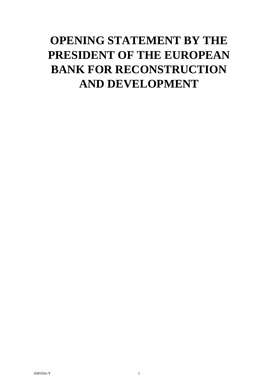## **OPENING STATEMENT BY THE PRESIDENT OF THE EUROPEAN BANK FOR RECONSTRUCTION AND DEVELOPMENT**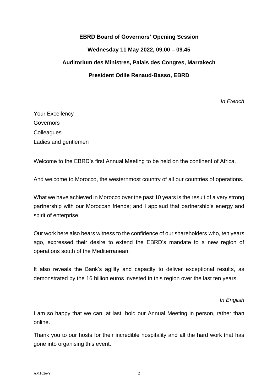## **EBRD Board of Governors' Opening Session Wednesday 11 May 2022, 09.00 – 09.45 Auditorium des Ministres, Palais des Congres, Marrakech President Odile Renaud-Basso, EBRD**

*In French*

Your Excellency **Governors Colleagues** Ladies and gentlemen

Welcome to the EBRD's first Annual Meeting to be held on the continent of Africa.

And welcome to Morocco, the westernmost country of all our countries of operations.

What we have achieved in Morocco over the past 10 years is the result of a very strong partnership with our Moroccan friends; and I applaud that partnership's energy and spirit of enterprise.

Our work here also bears witness to the confidence of our shareholders who, ten years ago, expressed their desire to extend the EBRD's mandate to a new region of operations south of the Mediterranean.

It also reveals the Bank's agility and capacity to deliver exceptional results, as demonstrated by the 16 billion euros invested in this region over the last ten years.

*In English*

I am so happy that we can, at last, hold our Annual Meeting in person, rather than online.

Thank you to our hosts for their incredible hospitality and all the hard work that has gone into organising this event.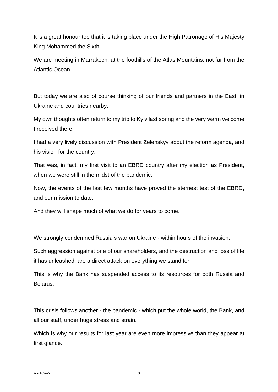It is a great honour too that it is taking place under the High Patronage of His Majesty King Mohammed the Sixth.

We are meeting in Marrakech, at the foothills of the Atlas Mountains, not far from the Atlantic Ocean.

But today we are also of course thinking of our friends and partners in the East, in Ukraine and countries nearby.

My own thoughts often return to my trip to Kyiv last spring and the very warm welcome I received there.

I had a very lively discussion with President Zelenskyy about the reform agenda, and his vision for the country.

That was, in fact, my first visit to an EBRD country after my election as President, when we were still in the midst of the pandemic.

Now, the events of the last few months have proved the sternest test of the EBRD, and our mission to date.

And they will shape much of what we do for years to come.

We strongly condemned Russia's war on Ukraine - within hours of the invasion.

Such aggression against one of our shareholders, and the destruction and loss of life it has unleashed, are a direct attack on everything we stand for.

This is why the Bank has suspended access to its resources for both Russia and Belarus.

This crisis follows another - the pandemic - which put the whole world, the Bank, and all our staff, under huge stress and strain.

Which is why our results for last year are even more impressive than they appear at first glance.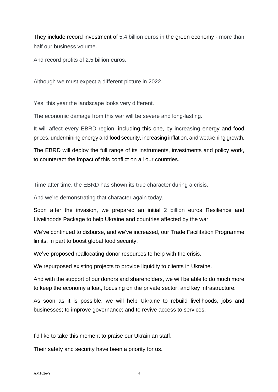They include record investment of 5.4 billion euros in the green economy - more than half our business volume.

And record profits of 2.5 billion euros.

Although we must expect a different picture in 2022.

Yes, this year the landscape looks very different.

The economic damage from this war will be severe and long-lasting.

It will affect every EBRD region, including this one, by increasing energy and food prices, undermining energy and food security, increasing inflation, and weakening growth.

The EBRD will deploy the full range of its instruments, investments and policy work, to counteract the impact of this conflict on all our countries.

Time after time, the EBRD has shown its true character during a crisis.

And we're demonstrating that character again today.

Soon after the invasion, we prepared an initial 2 billion euros Resilience and Livelihoods Package to help Ukraine and countries affected by the war.

We've continued to disburse, and we've increased, our Trade Facilitation Programme limits, in part to boost global food security.

We've proposed reallocating donor resources to help with the crisis.

We repurposed existing projects to provide liquidity to clients in Ukraine.

And with the support of our donors and shareholders, we will be able to do much more to keep the economy afloat, focusing on the private sector, and key infrastructure.

As soon as it is possible, we will help Ukraine to rebuild livelihoods, jobs and businesses; to improve governance; and to revive access to services.

I'd like to take this moment to praise our Ukrainian staff.

Their safety and security have been a priority for us.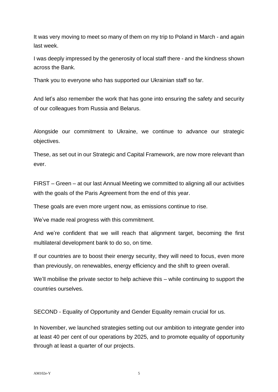It was very moving to meet so many of them on my trip to Poland in March - and again last week.

I was deeply impressed by the generosity of local staff there - and the kindness shown across the Bank.

Thank you to everyone who has supported our Ukrainian staff so far.

And let's also remember the work that has gone into ensuring the safety and security of our colleagues from Russia and Belarus.

Alongside our commitment to Ukraine, we continue to advance our strategic objectives.

These, as set out in our Strategic and Capital Framework, are now more relevant than ever.

FIRST – Green – at our last Annual Meeting we committed to aligning all our activities with the goals of the Paris Agreement from the end of this year.

These goals are even more urgent now, as emissions continue to rise.

We've made real progress with this commitment.

And we're confident that we will reach that alignment target, becoming the first multilateral development bank to do so, on time.

If our countries are to boost their energy security, they will need to focus, even more than previously, on renewables, energy efficiency and the shift to green overall.

We'll mobilise the private sector to help achieve this – while continuing to support the countries ourselves.

SECOND - Equality of Opportunity and Gender Equality remain crucial for us.

In November, we launched strategies setting out our ambition to integrate gender into at least 40 per cent of our operations by 2025, and to promote equality of opportunity through at least a quarter of our projects.